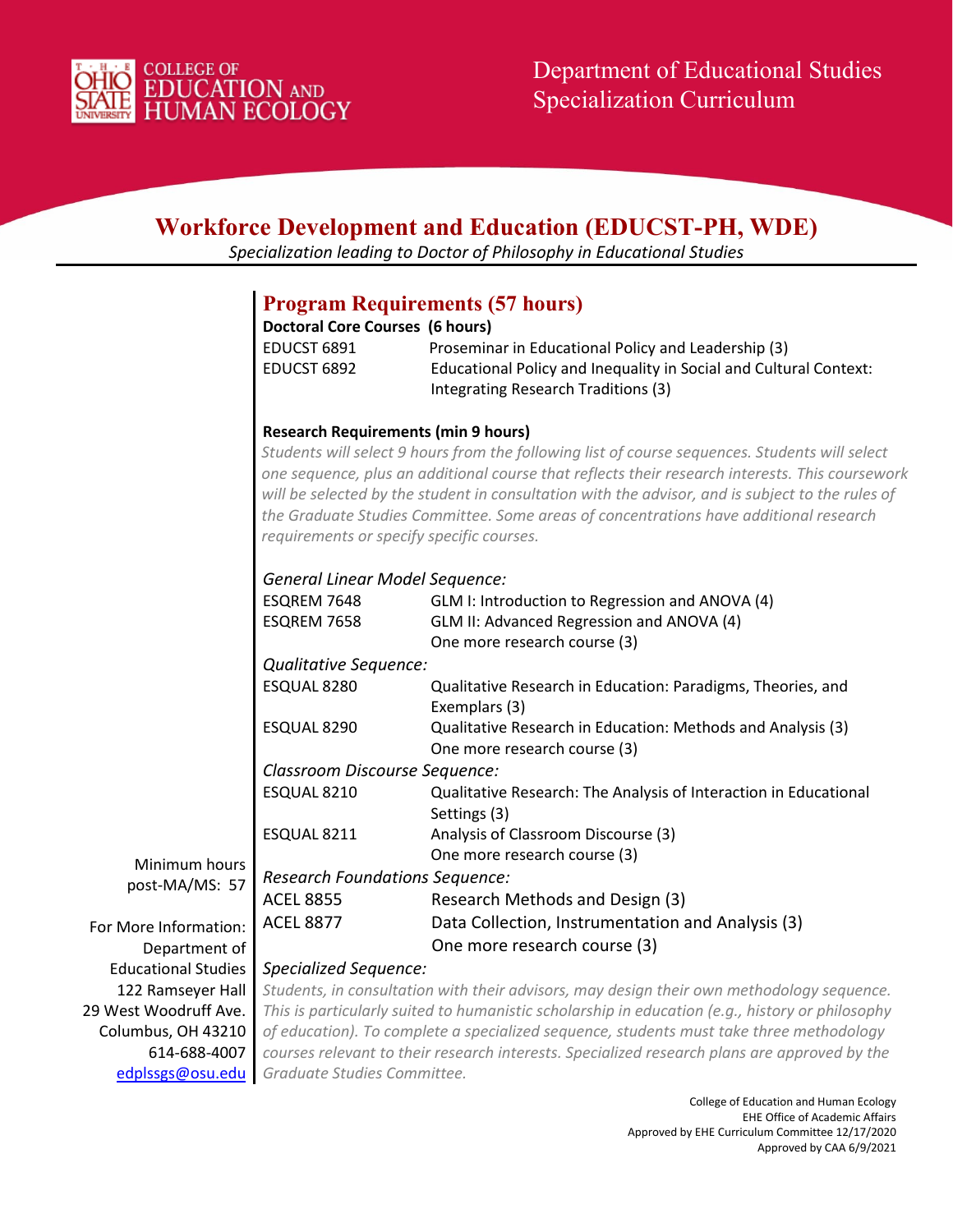

| <b>Workforce Development and Education (EDUCST-PH, WDE)</b><br>Specialization leading to Doctor of Philosophy in Educational Studies |                                                                                                                                                                                                                                                                                                                                                                                                                                             |                                                                                                          |  |  |
|--------------------------------------------------------------------------------------------------------------------------------------|---------------------------------------------------------------------------------------------------------------------------------------------------------------------------------------------------------------------------------------------------------------------------------------------------------------------------------------------------------------------------------------------------------------------------------------------|----------------------------------------------------------------------------------------------------------|--|--|
|                                                                                                                                      |                                                                                                                                                                                                                                                                                                                                                                                                                                             |                                                                                                          |  |  |
|                                                                                                                                      |                                                                                                                                                                                                                                                                                                                                                                                                                                             | <b>Program Requirements (57 hours)</b>                                                                   |  |  |
|                                                                                                                                      | <b>Doctoral Core Courses (6 hours)</b>                                                                                                                                                                                                                                                                                                                                                                                                      |                                                                                                          |  |  |
|                                                                                                                                      | EDUCST 6891                                                                                                                                                                                                                                                                                                                                                                                                                                 | Proseminar in Educational Policy and Leadership (3)                                                      |  |  |
|                                                                                                                                      | EDUCST 6892                                                                                                                                                                                                                                                                                                                                                                                                                                 | Educational Policy and Inequality in Social and Cultural Context:<br>Integrating Research Traditions (3) |  |  |
|                                                                                                                                      | <b>Research Requirements (min 9 hours)</b>                                                                                                                                                                                                                                                                                                                                                                                                  |                                                                                                          |  |  |
|                                                                                                                                      | Students will select 9 hours from the following list of course sequences. Students will select<br>one sequence, plus an additional course that reflects their research interests. This coursework<br>will be selected by the student in consultation with the advisor, and is subject to the rules of<br>the Graduate Studies Committee. Some areas of concentrations have additional research<br>requirements or specify specific courses. |                                                                                                          |  |  |
|                                                                                                                                      | General Linear Model Sequence:                                                                                                                                                                                                                                                                                                                                                                                                              |                                                                                                          |  |  |
|                                                                                                                                      | ESQREM 7648                                                                                                                                                                                                                                                                                                                                                                                                                                 | GLM I: Introduction to Regression and ANOVA (4)                                                          |  |  |
|                                                                                                                                      | ESQREM 7658                                                                                                                                                                                                                                                                                                                                                                                                                                 | GLM II: Advanced Regression and ANOVA (4)<br>One more research course (3)                                |  |  |
|                                                                                                                                      |                                                                                                                                                                                                                                                                                                                                                                                                                                             | Qualitative Sequence:                                                                                    |  |  |
|                                                                                                                                      | ESQUAL 8280                                                                                                                                                                                                                                                                                                                                                                                                                                 | Qualitative Research in Education: Paradigms, Theories, and<br>Exemplars (3)                             |  |  |
|                                                                                                                                      | ESQUAL 8290                                                                                                                                                                                                                                                                                                                                                                                                                                 | Qualitative Research in Education: Methods and Analysis (3)<br>One more research course (3)              |  |  |
|                                                                                                                                      | Classroom Discourse Sequence:                                                                                                                                                                                                                                                                                                                                                                                                               |                                                                                                          |  |  |
|                                                                                                                                      | ESQUAL 8210                                                                                                                                                                                                                                                                                                                                                                                                                                 | Qualitative Research: The Analysis of Interaction in Educational<br>Settings (3)                         |  |  |
|                                                                                                                                      | ESQUAL 8211                                                                                                                                                                                                                                                                                                                                                                                                                                 | Analysis of Classroom Discourse (3)                                                                      |  |  |
| Minimum hours                                                                                                                        |                                                                                                                                                                                                                                                                                                                                                                                                                                             | One more research course (3)                                                                             |  |  |
| post-MA/MS: 57                                                                                                                       | <b>Research Foundations Sequence:</b>                                                                                                                                                                                                                                                                                                                                                                                                       |                                                                                                          |  |  |
|                                                                                                                                      | <b>ACEL 8855</b>                                                                                                                                                                                                                                                                                                                                                                                                                            | Research Methods and Design (3)                                                                          |  |  |
| For More Information:                                                                                                                | <b>ACEL 8877</b>                                                                                                                                                                                                                                                                                                                                                                                                                            | Data Collection, Instrumentation and Analysis (3)                                                        |  |  |
| Department of                                                                                                                        |                                                                                                                                                                                                                                                                                                                                                                                                                                             | One more research course (3)                                                                             |  |  |
| <b>Educational Studies</b>                                                                                                           | <b>Specialized Sequence:</b>                                                                                                                                                                                                                                                                                                                                                                                                                |                                                                                                          |  |  |
| 122 Ramseyer Hall                                                                                                                    | Students, in consultation with their advisors, may design their own methodology sequence.                                                                                                                                                                                                                                                                                                                                                   |                                                                                                          |  |  |
| 29 West Woodruff Ave.                                                                                                                | This is particularly suited to humanistic scholarship in education (e.g., history or philosophy                                                                                                                                                                                                                                                                                                                                             |                                                                                                          |  |  |
| Columbus, OH 43210                                                                                                                   | of education). To complete a specialized sequence, students must take three methodology                                                                                                                                                                                                                                                                                                                                                     |                                                                                                          |  |  |
| 614-688-4007                                                                                                                         | courses relevant to their research interests. Specialized research plans are approved by the                                                                                                                                                                                                                                                                                                                                                |                                                                                                          |  |  |
| edplssgs@osu.edu                                                                                                                     | Graduate Studies Committee.                                                                                                                                                                                                                                                                                                                                                                                                                 |                                                                                                          |  |  |